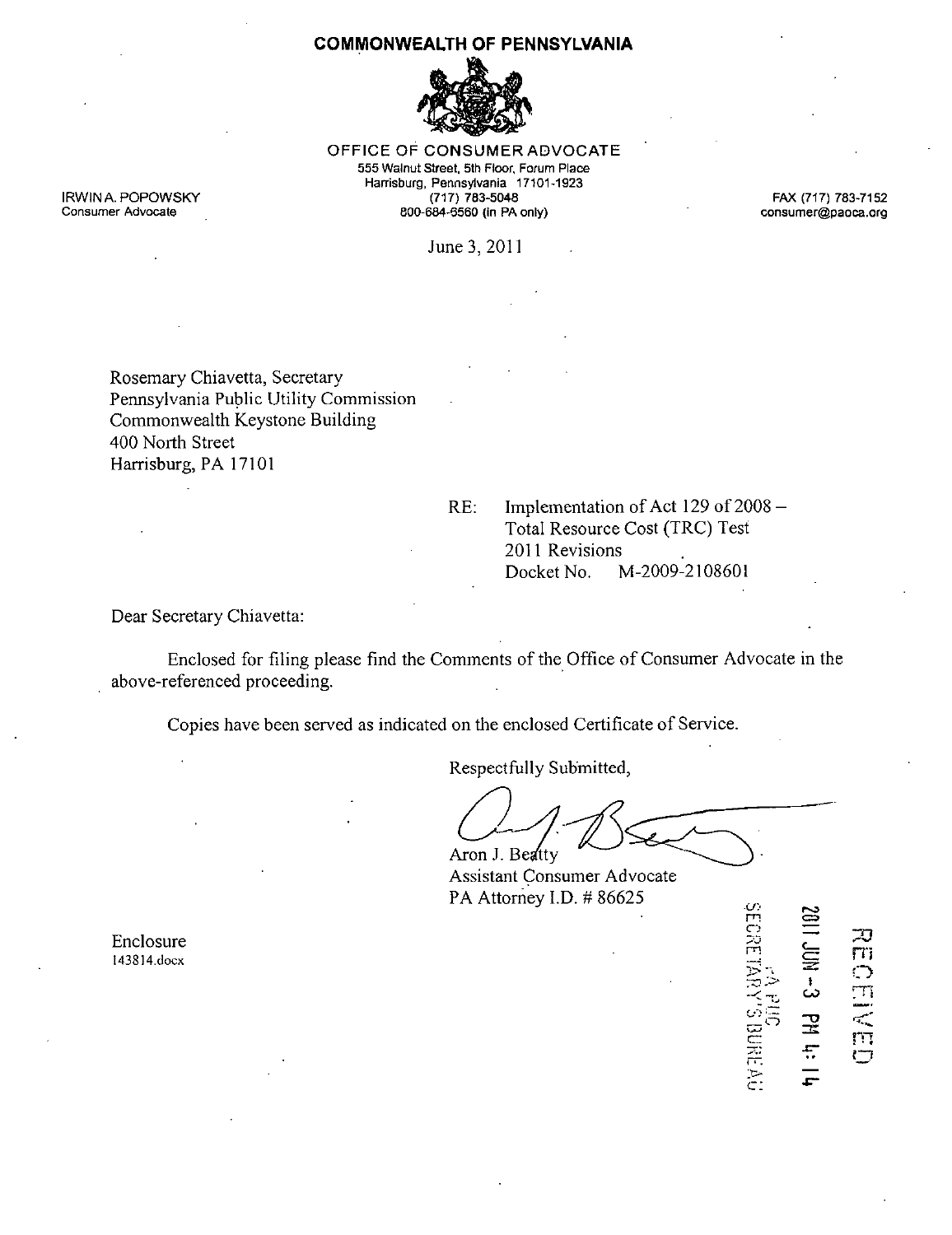### **COMMONWEALTH OF PENNSYLVANIA**



OFFICE OF CONSUMER ADVOCATE 555 Walnut Street, 5th Floor, Forum Place Harrisburg, Pennsylvania 17101-1923 IRWINA. POPOWSKY (717) 783-5048 FAX (717) 783-7152 extending 800-684-6560 (in PA only) consumer@paoca.org

June 3,2011

Rosemary Chiavetta, Secretary Pennsylvania Public Utility Commission Commonwealth Keystone Building 400 North Street Harrisburg, PA 17101

RE: Implementation of Act 129 of 2008 Total Resource Cost (TRC) Test 2011 Revisions Docket No. M-2009-2108601

Dear Secretary Chiavetta:

Enclosed for filing please find the Comments of the Office of Consumer Advocate in the above-referenced proceeding.

Copies have been served as indicated on the enclosed Certificate of Service.

Respectfully Submitted,

Aron J. Beatty

 $m = \boldsymbol{\Xi}$ 

 $\subset$  :

 $\frac{1}{2}$ 

**DESED** 

f H R C = NOT<br>O = A H D B R

Assistant Consumer Advocate PA Attorney I.D. # 86625 ^

**Enclosure**  $\ddot{=}$ 143814.docx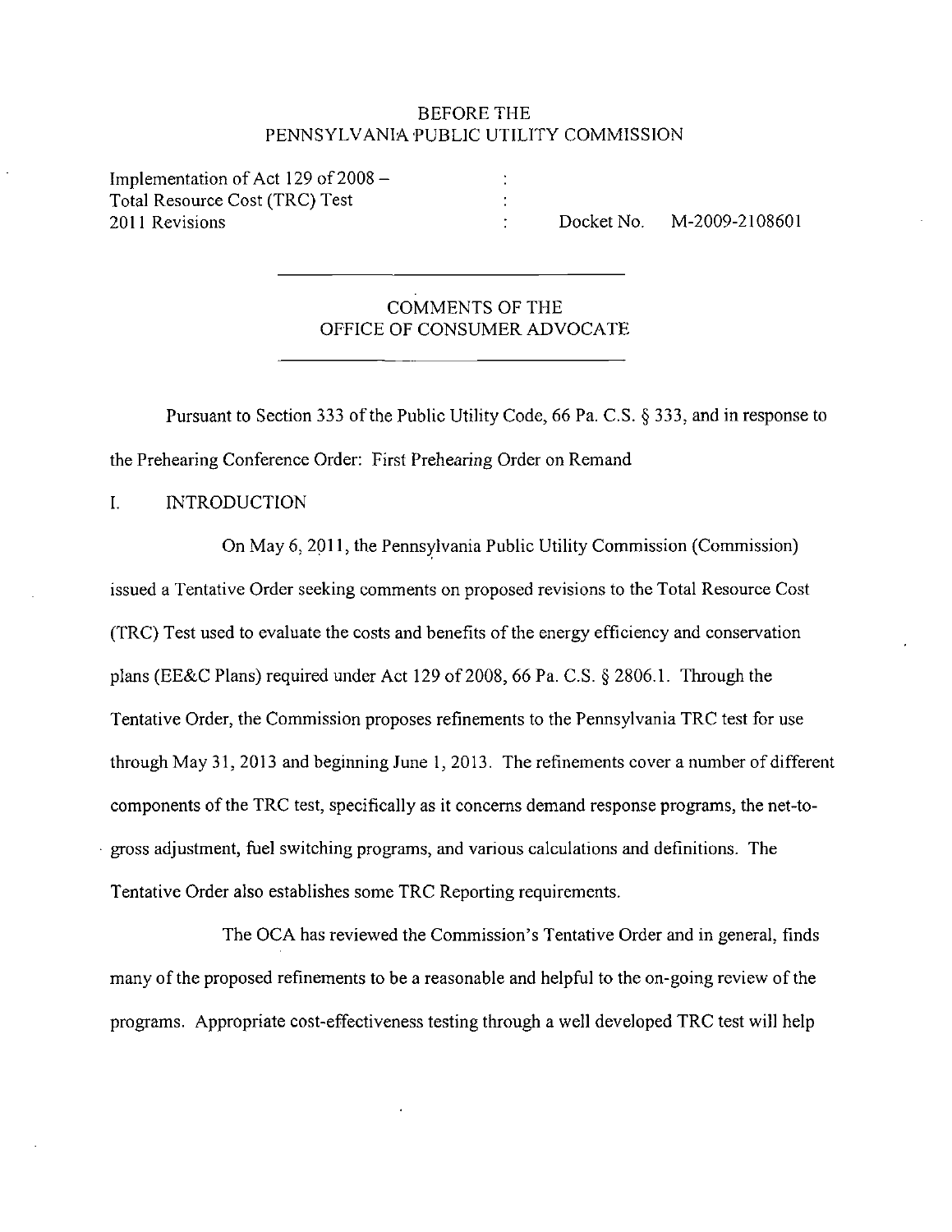### BEFORE THE PENNSYLVANIA PUBLIC UTILITY COMMISSION

Implementation of Act 129 of  $2008 -$ Total Resource Cost (TRC) Test 2011 Revisions Docket No. M-2009-2108601

# COMMENTS OF THE OFFICE OF CONSUMER ADVOCATE

Pursuant to Section 333 of the Public Utility Code, 66 Pa. C.S. § 333, and in response to the Prehearing Conference Order: First Prehearing Order on Remand

I. INTRODUCTION

On May 6, 2011, the Pennsylvania Public Utility Commission (Commission) issued a Tentative Order seeking comments on proposed revisions to the Total Resource Cost (TRC) Test used to evaluate the costs and benefits of the energy efficiency and conservation plans (EE&C Plans) required under Act 129 of 2008, 66 Pa. C.S. § 2806.1. Through the Tentative Order, the Commission proposes refinements to the Pennsylvania TRC test for use through May 31, 2013 and beginning June 1,2013. The refinements cover a number of different components of the TRC test, specifically as it concerns demand response programs, the net-togross adjustment, fiael switching programs, and various calculations and definitions. The Tentative Order also establishes some TRC Reporting requirements.

The OCA has reviewed the Commission's Tentative Order and in general, finds many of the proposed refinements to be a reasonable and helpful to the on-going review of the programs. Appropriate cost-effectiveness testing through a well developed TRC test will help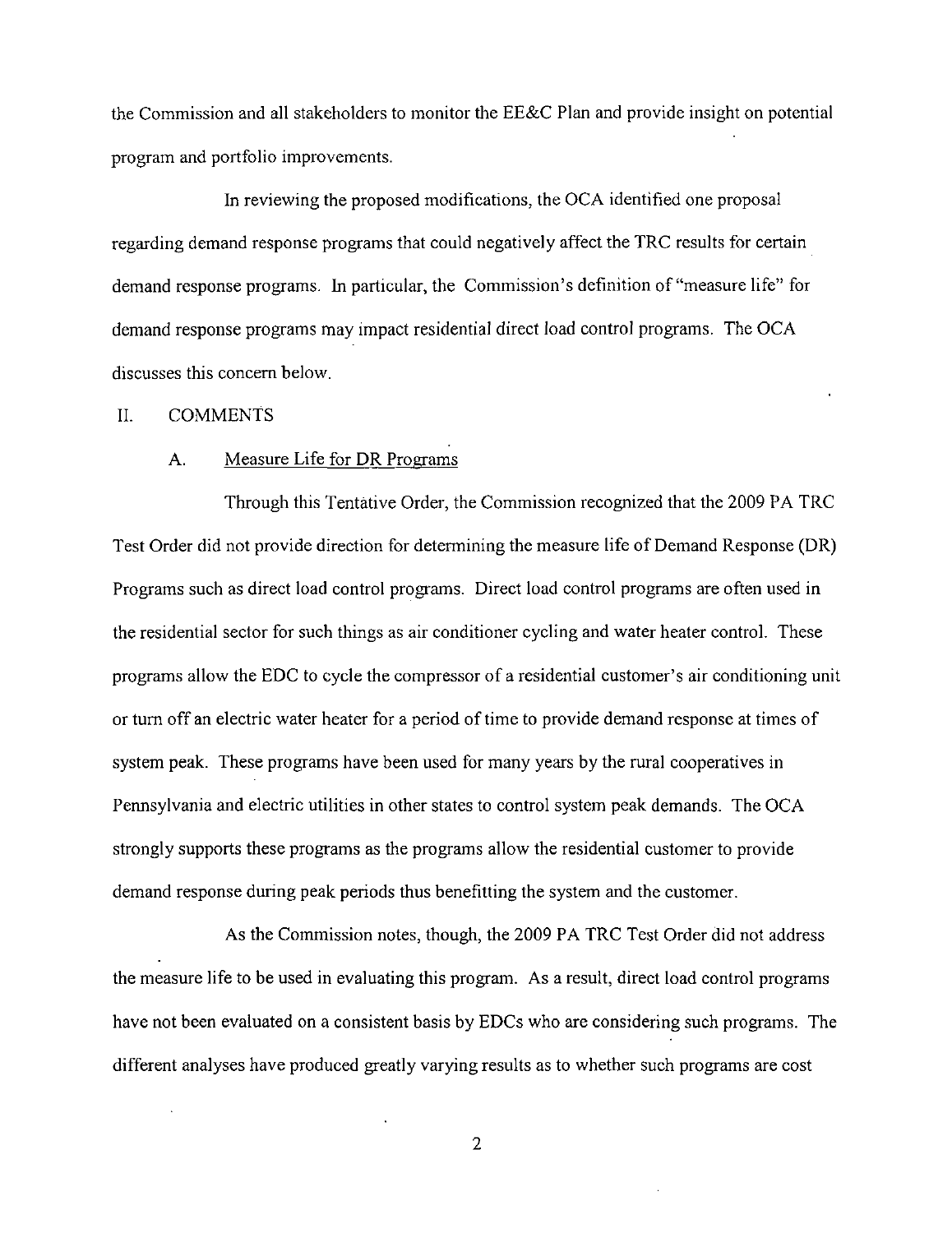the Commission and all stakeholders to monitor the EE&C Plan and provide insight on potential program and portfolio improvements.

In reviewing the proposed modifications, the OCA identified one proposal regarding demand response programs that could negatively affect the TRC results for certain demand response programs. In particular, the Commission's definition of "measure life" for demand response programs may impact residential direct load control programs. The OCA discusses this concern below.

#### II. COMMENTS

#### A. Measure Life for DR Programs

Through this Tentative Order, the Commission recognized that the 2009 PA TRC Test Order did not provide direction for determining the measure life of Demand Response (DR) Programs such as direct load control programs. Direct load control programs are often used in the residential sector for such things as air conditioner cycling and water heater control. These programs allow the EDC to cycle the compressor of a residential customer's air conditioning unit or turn off an electric water heater for a period of time to provide demand response at times of system peak. These programs have been used for many years by the rural cooperatives in Pennsylvania and electric utilities in other states to control system peak demands. The OCA strongly supports these programs as the programs allow the residential customer to provide demand response during peak periods thus benefitting the system and the customer.

As the Commission notes, though, the 2009 PA TRC Test Order did not address the measure life to be used in evaluating this program. As a result, direct load control programs have not been evaluated on a consistent basis by EDCs who are considering such programs. The different analyses have produced greatly varying results as to whether such programs are cost

 $\overline{2}$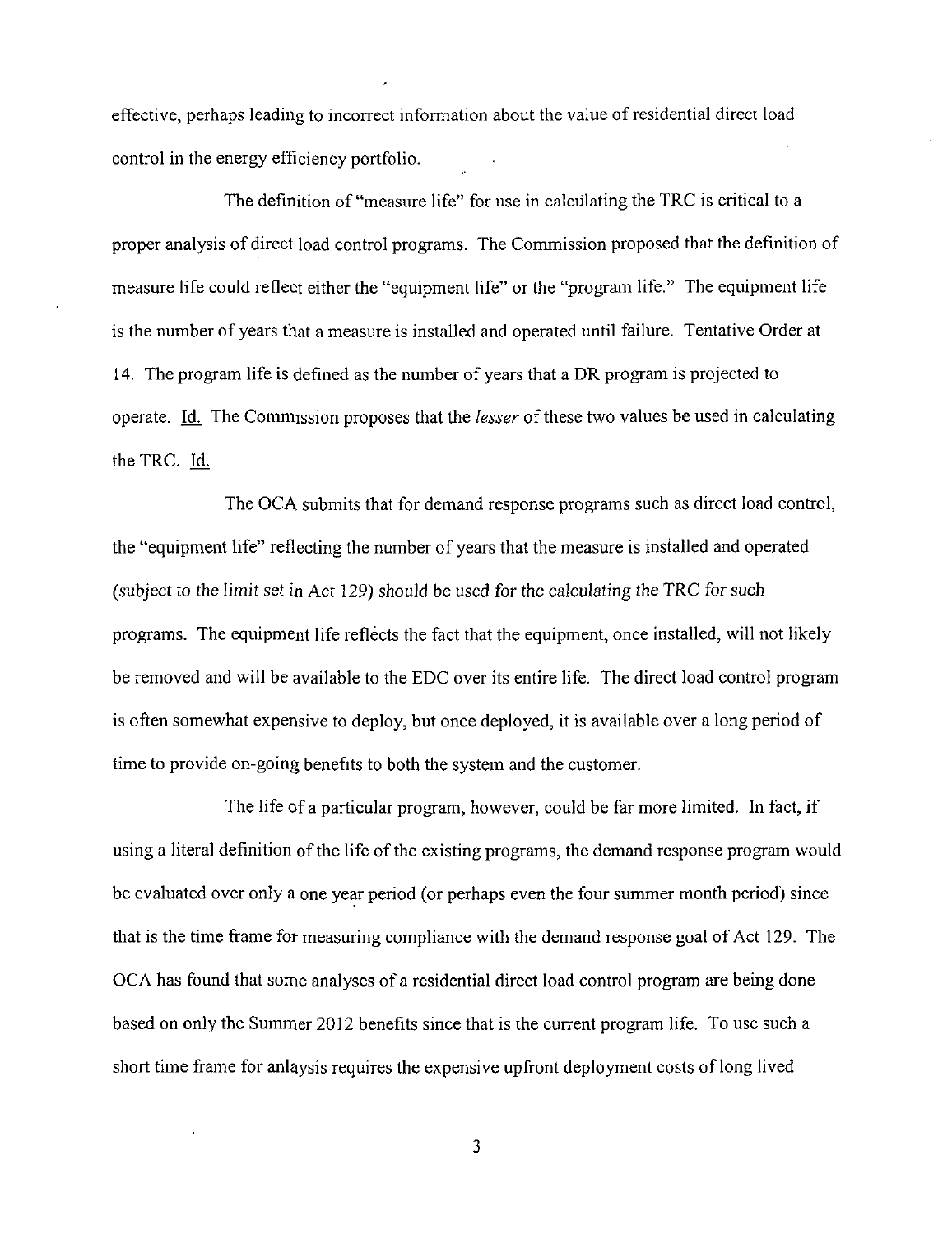effective, perhaps leading to incorrect infonnation about the value of residential direct load control in the energy efficiency portfolio.

The definition of "measure life" for use in calculating the TRC is critical to a proper analysis of direct load control programs. The Commission proposed that the definition of measure life could reflect either the "equipment life" or the "program life." The equipment life is the number of years that a measure is installed and operated until failure. Tentative Order at 14. The program life is defined as the number of years that a DR program is projected to operate. Id. The Commission proposes that the *lesser* of these two values be used in calculating the TRC. Id

The OCA submits that for demand response programs such as direct load control, the "equipment life" reflecting the number of years that the measure is installed and operated (subject to the limit set in Act 129) should be used for the calculating the TRC for such programs. The equipment life reflects the fact that the equipment, once installed, will not likely be removed and will be available to the EDC over its entire life. The direct load control program is often somewhat expensive to deploy, but once deployed, it is available over a long period of time to provide on-going benefits to both the system and the customer.

The life of a particular program, however, could be far more limited. In fact, if using a literal definition of the life of the existing programs, the demand response program would be evaluated over only a one year period (or perhaps even the four summer month period) since that is the time frame for measuring compliance with the demand response goal of Act 129. The OCA has found that some analyses of a residential direct load control program are being done based on only the Summer 2012 benefits since that is the current program life. To use such a short time frame for anlaysis requires the expensive upfront deployment costs of long lived

3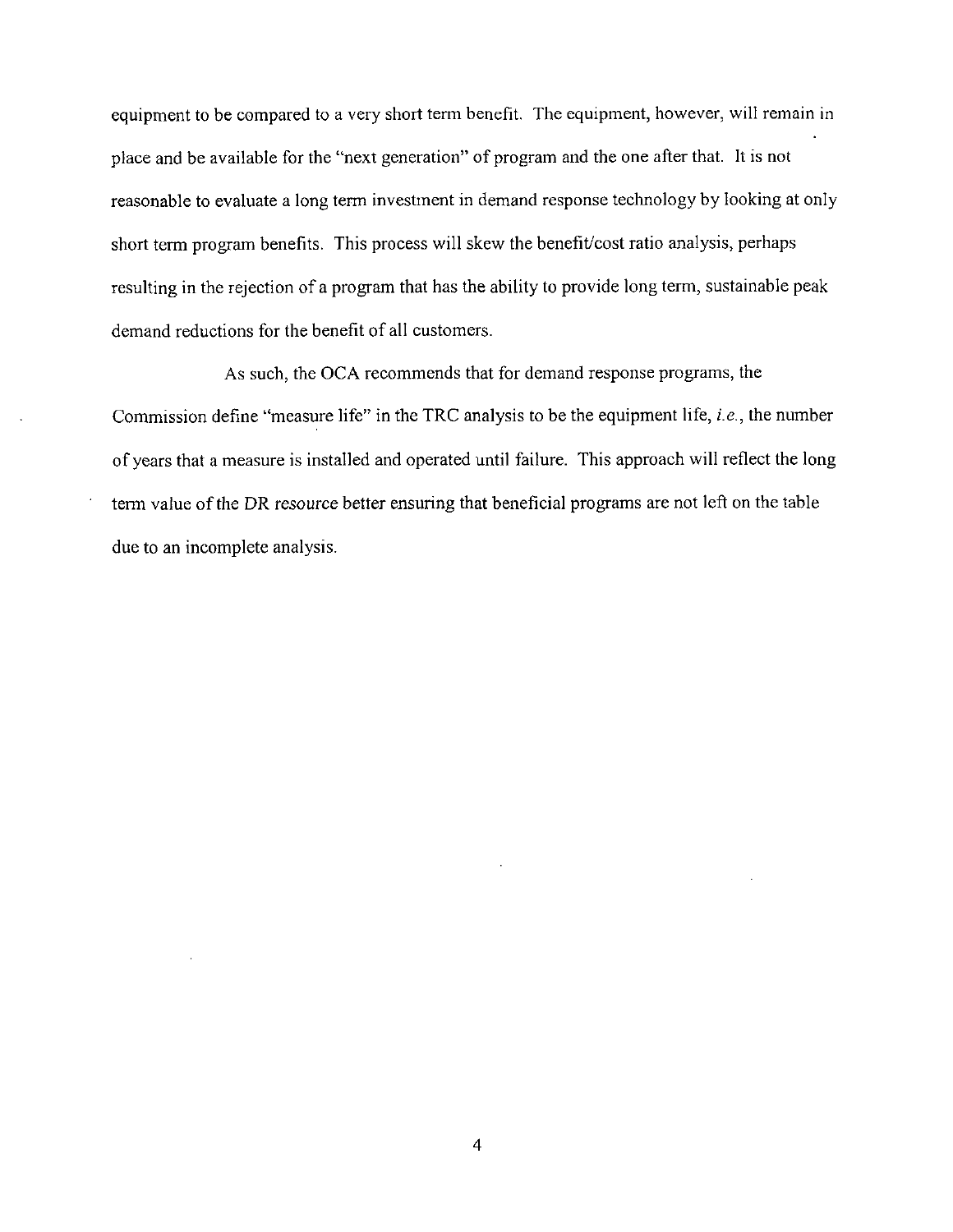equipment to be compared to a very short term benefit. The equipment, however, will remain in place and be available for the "next generation" of program and the one after that. It is not reasonable to evaluate a long term investment in demand response technology by looking at only short term program benefits. This process will skew the benefit/cost ratio analysis, perhaps resulting in the rejection of a program that has the ability to provide long term, sustainable peak demand reductions for the benefit of all customers.

As such, the OCA recommends that for demand response programs, the Commission define "measure life" in the TRC analysis to be the equipment life, i.e., the number of years that a measure is installed and operated until failure. This approach will reflect the long term value of the DR resource better ensuring that beneficial programs are not left on the table due to an incomplete analysis.